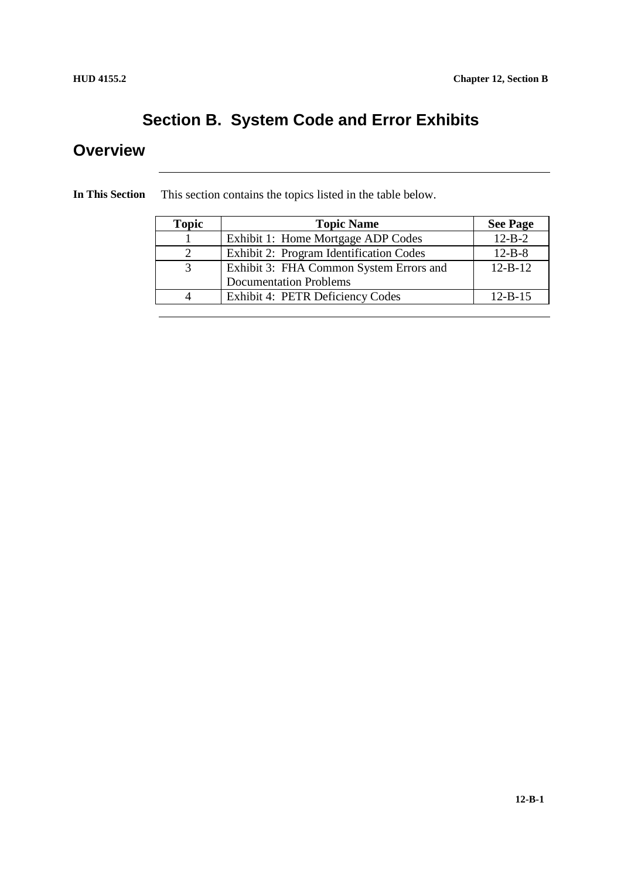### **Section B. System Code and Error Exhibits**

### **Overview**

| <b>Topic</b> | <b>Topic Name</b>                       | <b>See Page</b> |  |
|--------------|-----------------------------------------|-----------------|--|
|              | Exhibit 1: Home Mortgage ADP Codes      | $12 - B - 2$    |  |
|              | Exhibit 2: Program Identification Codes | $12 - B - 8$    |  |
|              | Exhibit 3: FHA Common System Errors and | $12 - B - 12$   |  |
|              | <b>Documentation Problems</b>           |                 |  |
|              | Exhibit 4: PETR Deficiency Codes        | $12 - B - 15$   |  |

**In This Section** This section contains the topics listed in the table below.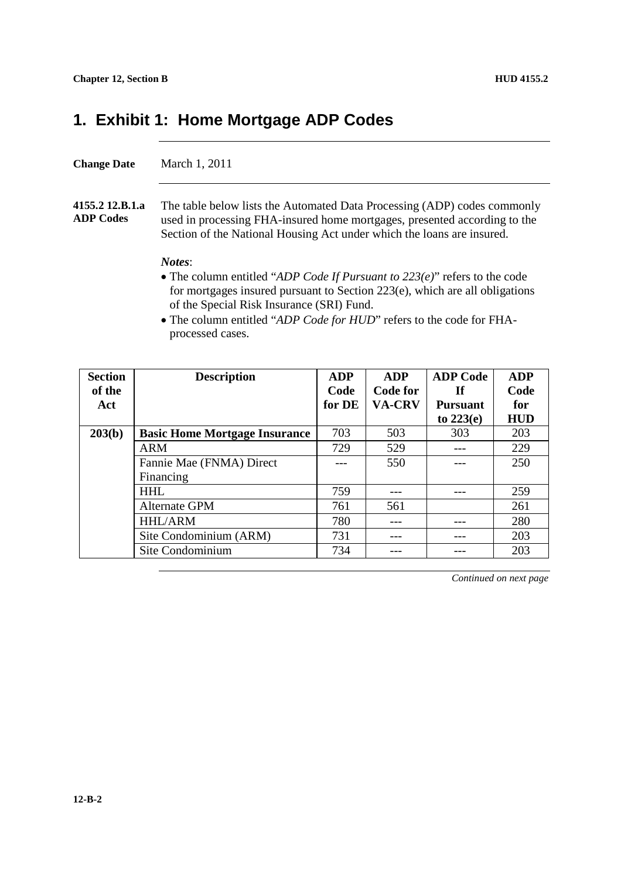### **1. Exhibit 1: Home Mortgage ADP Codes**

#### **Change Date** March 1, 2011

**4155.2 12.B.1.a ADP Codes** The table below lists the Automated Data Processing (ADP) codes commonly used in processing FHA-insured home mortgages, presented according to the Section of the National Housing Act under which the loans are insured.

#### *Notes*:

- The column entitled "*ADP Code If Pursuant to 223(e)*" refers to the code for mortgages insured pursuant to Section 223(e), which are all obligations of the Special Risk Insurance (SRI) Fund.
- The column entitled "*ADP Code for HUD*" refers to the code for FHAprocessed cases.

| <b>Section</b> | <b>Description</b>                   | <b>ADP</b> | <b>ADP</b>    | <b>ADP Code</b> | <b>ADP</b> |
|----------------|--------------------------------------|------------|---------------|-----------------|------------|
| of the         |                                      | Code       | Code for      | <b>If</b>       | Code       |
| Act            |                                      | for DE     | <b>VA-CRV</b> | <b>Pursuant</b> | for        |
|                |                                      |            |               | to $223(e)$     | <b>HUD</b> |
| 203(b)         | <b>Basic Home Mortgage Insurance</b> | 703        | 503           | 303             | 203        |
|                | <b>ARM</b>                           | 729        | 529           |                 | 229        |
|                | Fannie Mae (FNMA) Direct             |            | 550           |                 | 250        |
|                | Financing                            |            |               |                 |            |
|                | <b>HHL</b>                           | 759        | ---           |                 | 259        |
|                | Alternate GPM                        | 761        | 561           |                 | 261        |
|                | <b>HHL/ARM</b>                       | 780        |               |                 | 280        |
|                | Site Condominium (ARM)               | 731        |               |                 | 203        |
|                | Site Condominium                     | 734        |               |                 | 203        |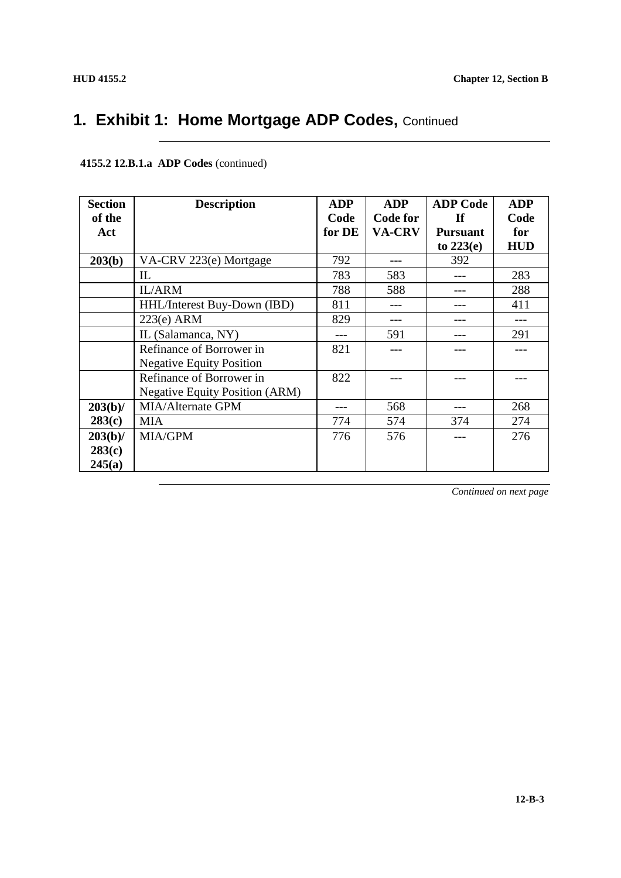| <b>Section</b> | <b>Description</b>                    | <b>ADP</b> | <b>ADP</b>    | <b>ADP Code</b> | <b>ADP</b> |
|----------------|---------------------------------------|------------|---------------|-----------------|------------|
| of the         |                                       | Code       | Code for      | <b>If</b>       | Code       |
| Act            |                                       | for DE     | <b>VA-CRV</b> | <b>Pursuant</b> | for        |
|                |                                       |            |               | to $223(e)$     | <b>HUD</b> |
| 203(b)         | VA-CRV 223(e) Mortgage                | 792        |               | 392             |            |
|                | $\mathbb{L}$                          | 783        | 583           |                 | 283        |
|                | <b>IL/ARM</b>                         | 788        | 588           |                 | 288        |
|                | HHL/Interest Buy-Down (IBD)           | 811        |               |                 | 411        |
|                | $223(e)$ ARM                          | 829        |               |                 |            |
|                | IL (Salamanca, NY)                    |            | 591           |                 | 291        |
|                | Refinance of Borrower in              | 821        |               |                 |            |
|                | <b>Negative Equity Position</b>       |            |               |                 |            |
|                | Refinance of Borrower in              | 822        |               |                 |            |
|                | <b>Negative Equity Position (ARM)</b> |            |               |                 |            |
| $203(b)$ /     | MIA/Alternate GPM                     |            | 568           |                 | 268        |
| 283(c)         | <b>MIA</b>                            | 774        | 574           | 374             | 274        |
| $203(b)$ /     | <b>MIA/GPM</b>                        | 776        | 576           |                 | 276        |
| 283(c)         |                                       |            |               |                 |            |
| 245(a)         |                                       |            |               |                 |            |

#### **4155.2 12.B.1.a ADP Codes** (continued)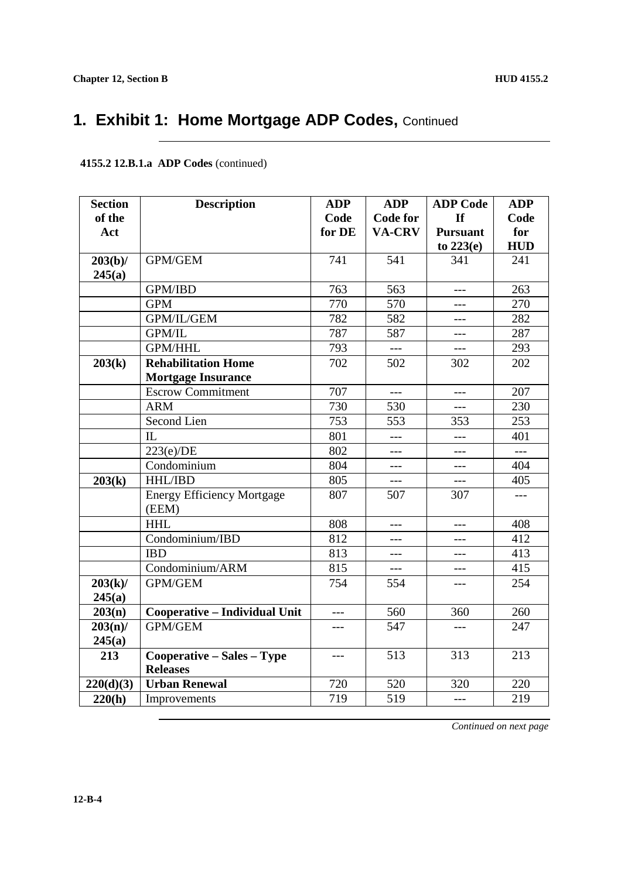| <b>Section</b> | <b>Description</b>                         | <b>ADP</b> | <b>ADP</b>      | <b>ADP</b> Code     | <b>ADP</b>     |
|----------------|--------------------------------------------|------------|-----------------|---------------------|----------------|
| of the         |                                            | Code       | <b>Code for</b> | If                  | Code           |
| Act            |                                            | for DE     | <b>VA-CRV</b>   | <b>Pursuant</b>     | for            |
|                |                                            |            |                 | to $223(e)$         | <b>HUD</b>     |
| $203(b)$ /     | GPM/GEM                                    | 741        | 541             | 341                 | 241            |
| 245(a)         |                                            |            |                 |                     |                |
|                | <b>GPM/IBD</b>                             | 763        | 563             |                     | 263            |
|                | <b>GPM</b>                                 | 770        | 570             | ---                 | 270            |
|                | GPM/IL/GEM                                 | 782        | 582             | ---                 | 282            |
|                | <b>GPM/IL</b>                              | 787        | 587             | $ -$                | 287            |
|                | <b>GPM/HHL</b>                             | 793        | $---$           | $\qquad \qquad - -$ | 293            |
| 203(k)         | <b>Rehabilitation Home</b>                 | 702        | 502             | 302                 | 202            |
|                | <b>Mortgage Insurance</b>                  |            |                 |                     |                |
|                | <b>Escrow Commitment</b>                   | 707        | $---$           | ---                 | 207            |
|                | <b>ARM</b>                                 | 730        | 530             | ---                 | 230            |
|                | Second Lien                                | 753        | 553             | 353                 | 253            |
|                | IL                                         | 801        | ---             | ---                 | 401            |
|                | 223(e)/DE                                  | 802        | $---$           | $---$               | $\overline{a}$ |
|                | $\overline{\text{Condominium}}$            | 804        | ---             | ---                 | 404            |
| 203(k)         | HHL/IBD                                    | 805        | ---             | $---$               | 405            |
|                | <b>Energy Efficiency Mortgage</b><br>(EEM) | 807        | 507             | 307                 |                |
|                | <b>HHL</b>                                 | 808        | $---$           | ---                 | 408            |
|                | Condominium/IBD                            | 812        | ---             | ---                 | 412            |
|                | <b>IBD</b>                                 | 813        | ---             | $---$               | 413            |
|                | Condominium/ARM                            | 815        | $---$           | ---                 | 415            |
| $203(k)$ /     | GPM/GEM                                    | 754        | 554             | ---                 | 254            |
| 245(a)         |                                            |            |                 |                     |                |
| 203(n)         | Cooperative - Individual Unit              | ---        | 560             | 360                 | 260            |
| 203(n)/        | <b>GPM/GEM</b>                             | ---        | 547             | ---                 | 247            |
| 245(a)         |                                            |            |                 |                     |                |
| 213            | Cooperative - Sales - Type                 | $---$      | 513             | 313                 | 213            |
|                | <b>Releases</b>                            |            |                 |                     |                |
| 220(d)(3)      | <b>Urban Renewal</b>                       | 720        | 520             | 320                 | 220            |
| 220(h)         | Improvements                               | 719        | 519             | $---$               | 219            |

#### **4155.2 12.B.1.a ADP Codes** (continued)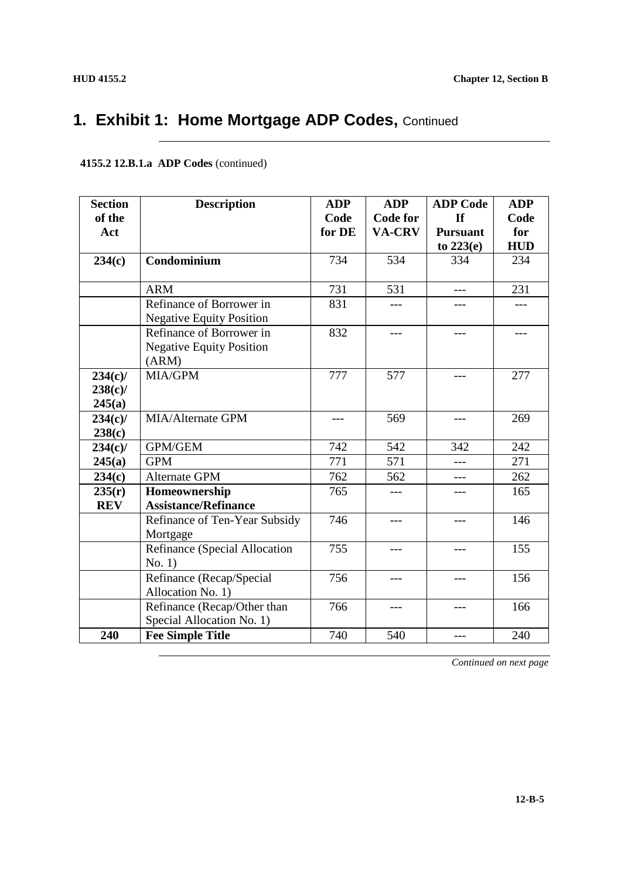| <b>Section</b> | <b>Description</b>              | <b>ADP</b> | <b>ADP</b>      | <b>ADP</b> Code | <b>ADP</b> |
|----------------|---------------------------------|------------|-----------------|-----------------|------------|
| of the         |                                 | Code       | <b>Code for</b> | <b>If</b>       | Code       |
| Act            |                                 | for DE     | VA-CRV          | <b>Pursuant</b> | for        |
|                |                                 |            |                 | to $223(e)$     | <b>HUD</b> |
| 234(c)         | Condominium                     | 734        | 534             | 334             | 234        |
|                |                                 |            |                 |                 |            |
|                | <b>ARM</b>                      | 731        | 531             | ---             | 231        |
|                | Refinance of Borrower in        | 831        | $---$           | ---             | $---$      |
|                | <b>Negative Equity Position</b> |            |                 |                 |            |
|                | Refinance of Borrower in        | 832        | ---             | ---             |            |
|                | <b>Negative Equity Position</b> |            |                 |                 |            |
|                | (ARM)                           |            |                 |                 |            |
| $234(c)$ /     | MIA/GPM                         | 777        | 577             | ---             | 277        |
| $238(c)$ /     |                                 |            |                 |                 |            |
| 245(a)         |                                 |            |                 |                 |            |
| $234(c)$ /     | <b>MIA/Alternate GPM</b>        | ---        | 569             | $- - -$         | 269        |
| 238(c)         |                                 |            |                 |                 |            |
| $234(c)$ /     | GPM/GEM                         | 742        | 542             | 342             | 242        |
| 245(a)         | <b>GPM</b>                      | 771        | 571             | $---$           | 271        |
| 234(c)         | Alternate GPM                   | 762        | 562             | ---             | 262        |
| 235(r)         | Homeownership                   | 765        | $\frac{1}{2}$   | ---             | 165        |
| <b>REV</b>     | <b>Assistance/Refinance</b>     |            |                 |                 |            |
|                | Refinance of Ten-Year Subsidy   | 746        | ---             |                 | 146        |
|                | Mortgage                        |            |                 |                 |            |
|                | Refinance (Special Allocation   | 755        | ---             | $ -$            | 155        |
|                | No. 1)                          |            |                 |                 |            |
|                | Refinance (Recap/Special        | 756        | $---$           | $---$           | 156        |
|                | Allocation No. 1)               |            |                 |                 |            |
|                | Refinance (Recap/Other than     | 766        | $---$           | ---             | 166        |
|                | Special Allocation No. 1)       |            |                 |                 |            |
| 240            | <b>Fee Simple Title</b>         | 740        | 540             |                 | 240        |

#### **4155.2 12.B.1.a ADP Codes** (continued)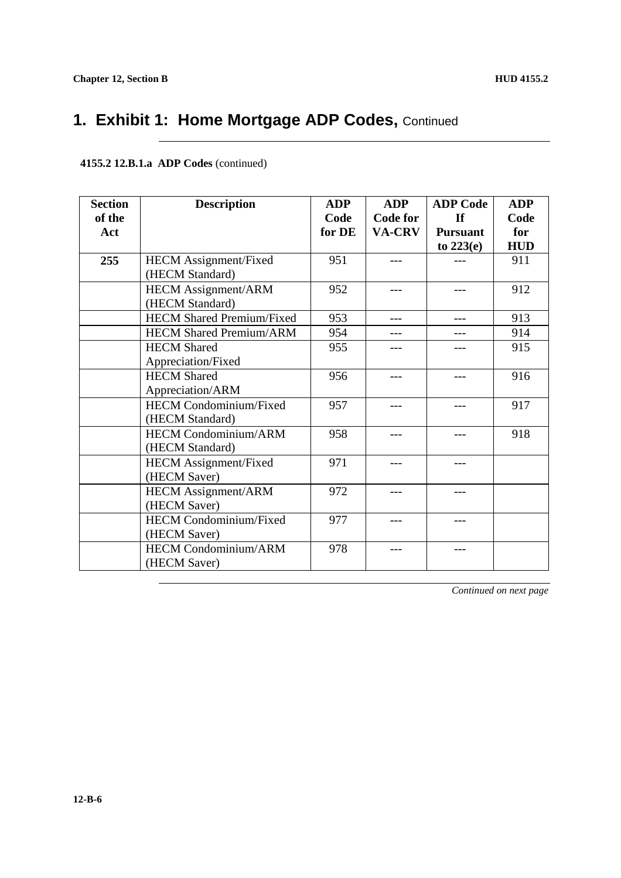#### **4155.2 12.B.1.a ADP Codes** (continued)

| <b>Section</b> | <b>Description</b>               | <b>ADP</b> | <b>ADP</b>      | <b>ADP</b> Code | <b>ADP</b> |
|----------------|----------------------------------|------------|-----------------|-----------------|------------|
| of the         |                                  | Code       | <b>Code for</b> | If              | Code       |
| Act            |                                  | for DE     | <b>VA-CRV</b>   | <b>Pursuant</b> | for        |
|                |                                  |            |                 | to $223(e)$     | <b>HUD</b> |
| 255            | HECM Assignment/Fixed            | 951        |                 |                 | 911        |
|                | (HECM Standard)                  |            |                 |                 |            |
|                | <b>HECM Assignment/ARM</b>       | 952        | ---             |                 | 912        |
|                | (HECM Standard)                  |            |                 |                 |            |
|                | <b>HECM</b> Shared Premium/Fixed | 953        | ---             |                 | 913        |
|                | <b>HECM Shared Premium/ARM</b>   | 954        | ---             |                 | 914        |
|                | <b>HECM</b> Shared               | 955        | ---             |                 | 915        |
|                | Appreciation/Fixed               |            |                 |                 |            |
|                | <b>HECM</b> Shared               | 956        |                 |                 | 916        |
|                | Appreciation/ARM                 |            |                 |                 |            |
|                | <b>HECM Condominium/Fixed</b>    | 957        | ---             |                 | 917        |
|                | (HECM Standard)                  |            |                 |                 |            |
|                | <b>HECM Condominium/ARM</b>      | 958        | ---             |                 | 918        |
|                | (HECM Standard)                  |            |                 |                 |            |
|                | <b>HECM</b> Assignment/Fixed     | 971        |                 |                 |            |
|                | (HECM Saver)                     |            |                 |                 |            |
|                | <b>HECM</b> Assignment/ARM       | 972        | ---             |                 |            |
|                | (HECM Saver)                     |            |                 |                 |            |
|                | <b>HECM</b> Condominium/Fixed    | 977        | ---             | ---             |            |
|                | (HECM Saver)                     |            |                 |                 |            |
|                | <b>HECM Condominium/ARM</b>      | 978        |                 |                 |            |
|                | (HECM Saver)                     |            |                 |                 |            |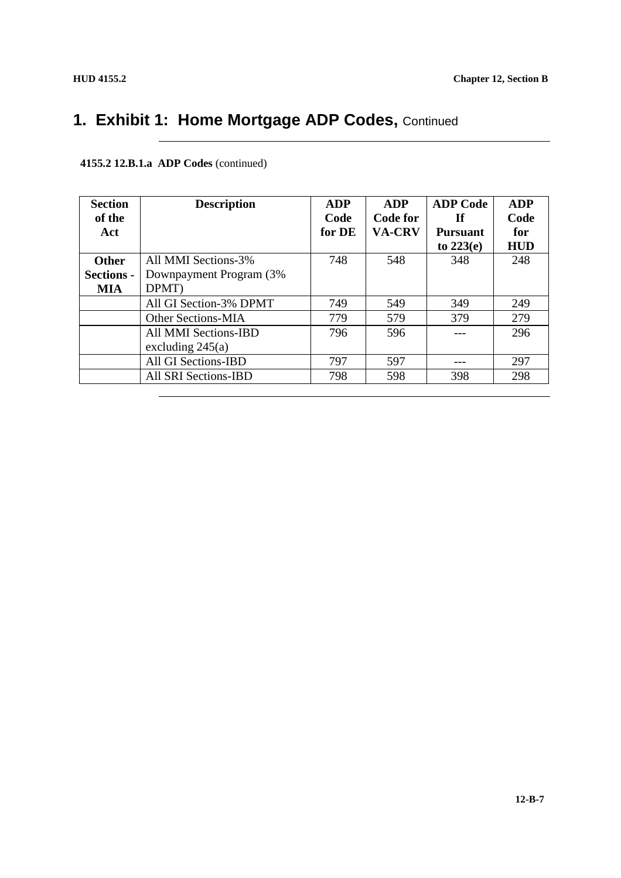| <b>Section</b><br>of the                 | <b>Description</b>                                       | <b>ADP</b><br>Code | <b>ADP</b><br>Code for | <b>ADP Code</b><br>- If        | <b>ADP</b><br>Code |
|------------------------------------------|----------------------------------------------------------|--------------------|------------------------|--------------------------------|--------------------|
| Act                                      |                                                          | for DE             | <b>VA-CRV</b>          | <b>Pursuant</b><br>to $223(e)$ | for<br><b>HUD</b>  |
| <b>Other</b><br><b>Sections -</b><br>MIA | All MMI Sections-3%<br>Downpayment Program (3%)<br>DPMT) | 748                | 548                    | 348                            | 248                |
|                                          | All GI Section-3% DPMT                                   | 749                | 549                    | 349                            | 249                |
|                                          | <b>Other Sections-MIA</b>                                | 779                | 579                    | 379                            | 279                |
|                                          | All MMI Sections-IBD<br>excluding $245(a)$               | 796                | 596                    |                                | 296                |
|                                          | All GI Sections-IBD                                      | 797                | 597                    |                                | 297                |
|                                          | All SRI Sections-IBD                                     | 798                | 598                    | 398                            | 298                |

### **4155.2 12.B.1.a ADP Codes** (continued)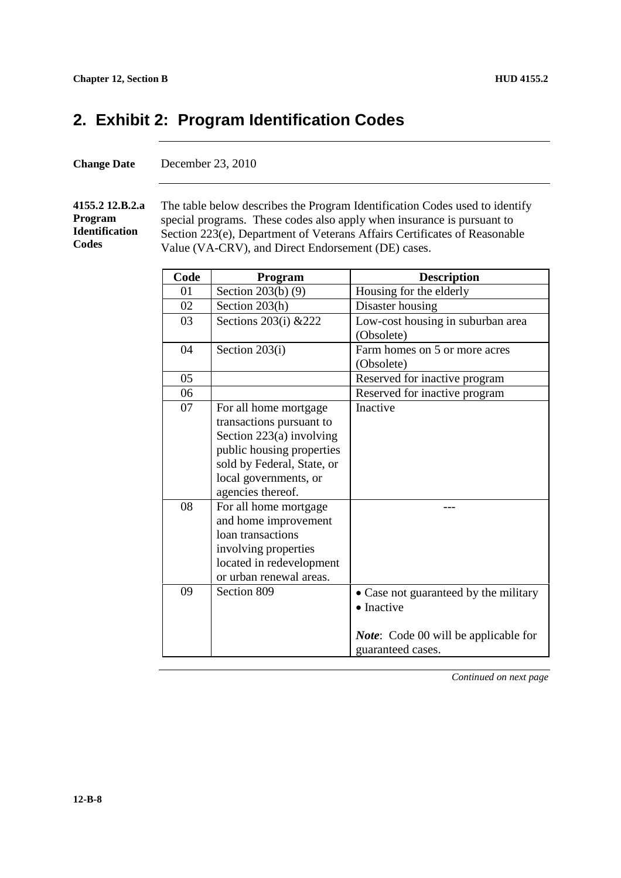### **2. Exhibit 2: Program Identification Codes**

| <b>Change Date</b> | December 23, 2010 |
|--------------------|-------------------|
|--------------------|-------------------|

#### **4155.2 12.B.2.a Program Identification Codes**

The table below describes the Program Identification Codes used to identify special programs. These codes also apply when insurance is pursuant to Section 223(e), Department of Veterans Affairs Certificates of Reasonable Value (VA-CRV), and Direct Endorsement (DE) cases.

| Code | Program                    | <b>Description</b>                           |
|------|----------------------------|----------------------------------------------|
| 01   | Section $203(b)$ (9)       | Housing for the elderly                      |
| 02   | Section 203(h)             | Disaster housing                             |
| 03   | Sections 203(i) & 222      | Low-cost housing in suburban area            |
|      |                            | (Obsolete)                                   |
| 04   | Section 203(i)             | Farm homes on 5 or more acres                |
|      |                            | (Obsolete)                                   |
| 05   |                            | Reserved for inactive program                |
| 06   |                            | Reserved for inactive program                |
| 07   | For all home mortgage      | Inactive                                     |
|      | transactions pursuant to   |                                              |
|      | Section 223(a) involving   |                                              |
|      | public housing properties  |                                              |
|      | sold by Federal, State, or |                                              |
|      | local governments, or      |                                              |
|      | agencies thereof.          |                                              |
| 08   | For all home mortgage      |                                              |
|      | and home improvement       |                                              |
|      | loan transactions          |                                              |
|      | involving properties       |                                              |
|      | located in redevelopment   |                                              |
|      | or urban renewal areas.    |                                              |
| 09   | Section 809                | • Case not guaranteed by the military        |
|      |                            | • Inactive                                   |
|      |                            |                                              |
|      |                            | <i>Note</i> : Code 00 will be applicable for |
|      |                            | guaranteed cases.                            |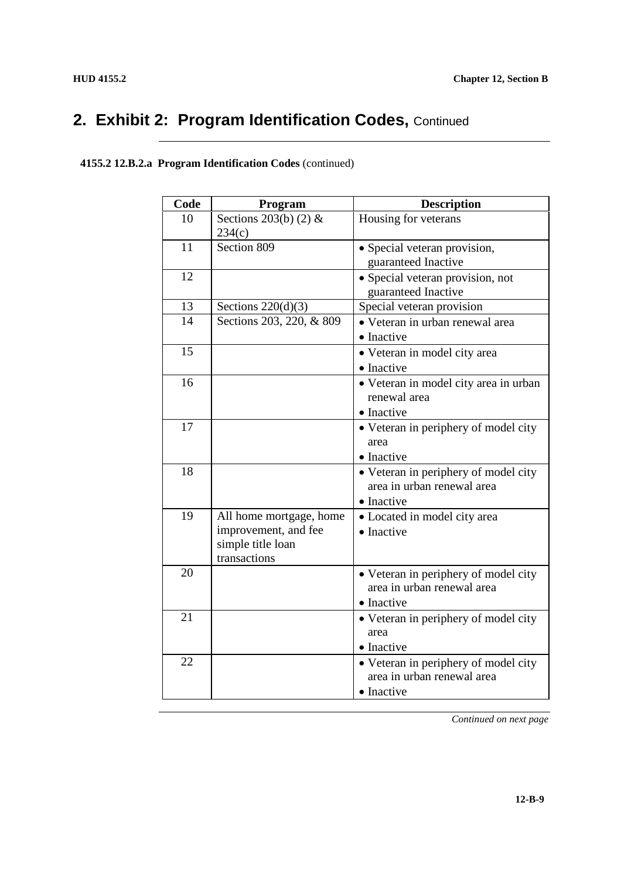# 2. Exhibit 2: Program Identification Codes, Continued

| Code | Program                                                                              | <b>Description</b>                                                               |
|------|--------------------------------------------------------------------------------------|----------------------------------------------------------------------------------|
| 10   | Sections 203(b) $(2)$ &<br>234(c)                                                    | Housing for veterans                                                             |
| 11   | Section 809                                                                          | • Special veteran provision,<br>guaranteed Inactive                              |
| 12   |                                                                                      | · Special veteran provision, not<br>guaranteed Inactive                          |
| 13   | Sections $220(d)(3)$                                                                 | Special veteran provision                                                        |
| 14   | Sections 203, 220, & 809                                                             | • Veteran in urban renewal area<br>• Inactive                                    |
| 15   |                                                                                      | • Veteran in model city area<br>• Inactive                                       |
| 16   |                                                                                      | • Veteran in model city area in urban<br>renewal area<br>• Inactive              |
| 17   |                                                                                      | • Veteran in periphery of model city<br>area<br>• Inactive                       |
| 18   |                                                                                      | • Veteran in periphery of model city<br>area in urban renewal area<br>• Inactive |
| 19   | All home mortgage, home<br>improvement, and fee<br>simple title loan<br>transactions | • Located in model city area<br>• Inactive                                       |
| 20   |                                                                                      | • Veteran in periphery of model city<br>area in urban renewal area<br>• Inactive |
| 21   |                                                                                      | • Veteran in periphery of model city<br>area<br>• Inactive                       |
| 22   |                                                                                      | • Veteran in periphery of model city<br>area in urban renewal area<br>• Inactive |

#### **4155.2 12.B.2.a Program Identification Codes** (continued)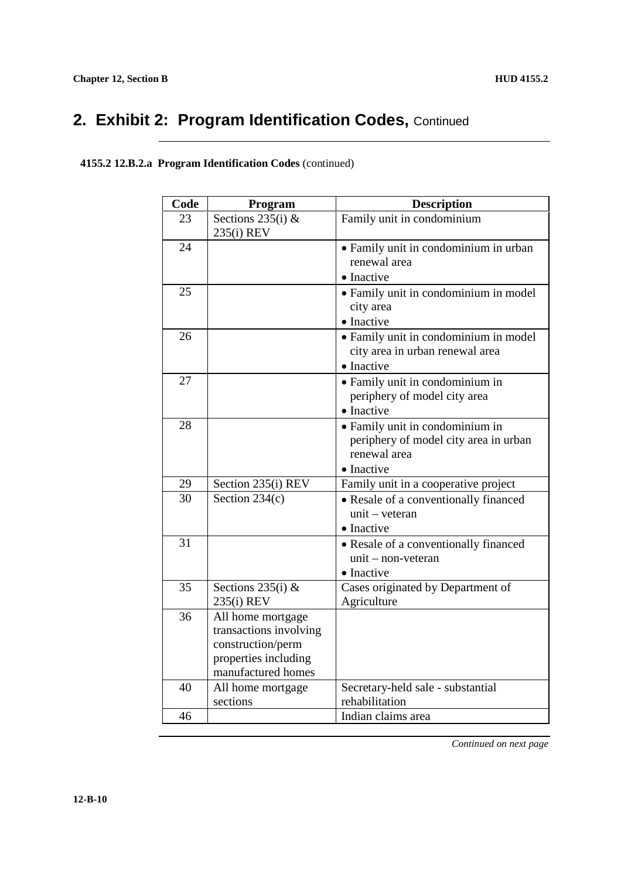# 2. Exhibit 2: Program Identification Codes, Continued

### **4155.2 12.B.2.a Program Identification Codes** (continued)

| Code | Program                                   | <b>Description</b>                    |
|------|-------------------------------------------|---------------------------------------|
| 23   | Sections $235(i)$ &                       | Family unit in condominium            |
|      | 235(i) REV                                |                                       |
| 24   |                                           | • Family unit in condominium in urban |
|      |                                           | renewal area                          |
|      |                                           | • Inactive                            |
| 25   |                                           | • Family unit in condominium in model |
|      |                                           | city area                             |
|      |                                           | • Inactive                            |
| 26   |                                           | • Family unit in condominium in model |
|      |                                           | city area in urban renewal area       |
|      |                                           | • Inactive                            |
| 27   |                                           | • Family unit in condominium in       |
|      |                                           | periphery of model city area          |
|      |                                           | • Inactive                            |
| 28   |                                           | • Family unit in condominium in       |
|      |                                           | periphery of model city area in urban |
|      |                                           | renewal area                          |
|      |                                           | • Inactive                            |
| 29   | Section 235(i) REV                        | Family unit in a cooperative project  |
| 30   | Section $234(c)$                          | • Resale of a conventionally financed |
|      |                                           | $unit - vector$                       |
|      |                                           | • Inactive                            |
| 31   |                                           | • Resale of a conventionally financed |
|      |                                           | $unit - non-vector$                   |
|      |                                           | • Inactive                            |
| 35   | Sections $235(i)$ &                       | Cases originated by Department of     |
|      | 235(i) REV                                | Agriculture                           |
| 36   | All home mortgage                         |                                       |
|      | transactions involving                    |                                       |
|      | construction/perm<br>properties including |                                       |
|      | manufactured homes                        |                                       |
| 40   | All home mortgage                         | Secretary-held sale - substantial     |
|      | sections                                  | rehabilitation                        |
| 46   |                                           | Indian claims area                    |
|      |                                           |                                       |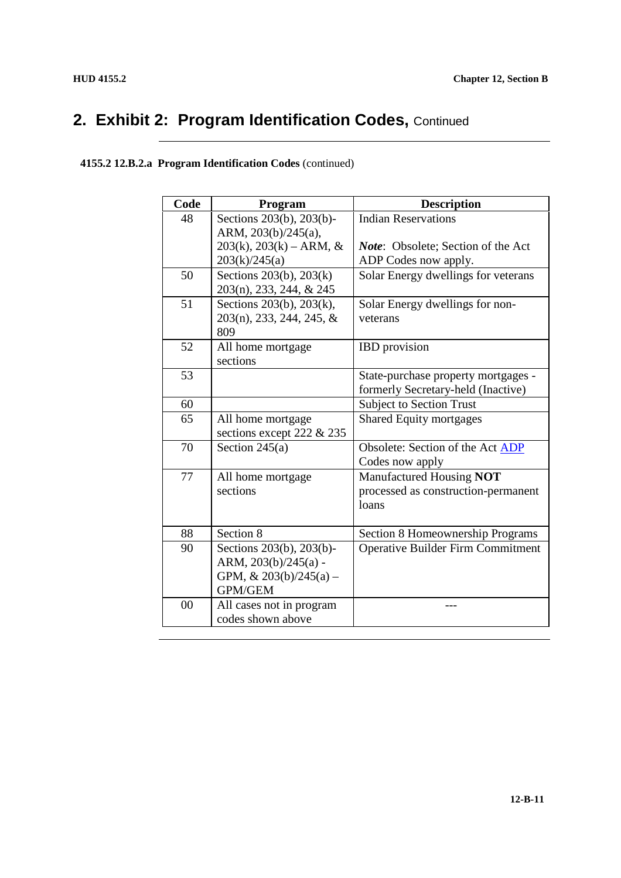# 2. Exhibit 2: Program Identification Codes, Continued

| Code | Program                      | <b>Description</b>                        |
|------|------------------------------|-------------------------------------------|
| 48   | Sections 203(b), 203(b)-     | <b>Indian Reservations</b>                |
|      | ARM, 203(b)/245(a),          |                                           |
|      | $203(k)$ , $203(k)$ – ARM, & | <i>Note:</i> Obsolete; Section of the Act |
|      | 203(k)/245(a)                | ADP Codes now apply.                      |
| 50   | Sections 203(b), 203(k)      | Solar Energy dwellings for veterans       |
|      | 203(n), 233, 244, & 245      |                                           |
| 51   | Sections 203(b), 203(k),     | Solar Energy dwellings for non-           |
|      | $203(n)$ , 233, 244, 245, &  | veterans                                  |
|      | 809                          |                                           |
| 52   | All home mortgage            | <b>IBD</b> provision                      |
|      | sections                     |                                           |
| 53   |                              | State-purchase property mortgages -       |
|      |                              | formerly Secretary-held (Inactive)        |
| 60   |                              | <b>Subject to Section Trust</b>           |
| 65   | All home mortgage            | <b>Shared Equity mortgages</b>            |
|      | sections except 222 & 235    |                                           |
| 70   | Section $245(a)$             | Obsolete: Section of the Act ADP          |
|      |                              | Codes now apply                           |
| 77   | All home mortgage            | Manufactured Housing NOT                  |
|      | sections                     | processed as construction-permanent       |
|      |                              | loans                                     |
|      |                              |                                           |
| 88   | Section 8                    | Section 8 Homeownership Programs          |
| 90   | Sections 203(b), 203(b)-     | <b>Operative Builder Firm Commitment</b>  |
|      | ARM, 203(b)/245(a) -         |                                           |
|      | GPM, $& 203(b)/245(a) -$     |                                           |
|      | <b>GPM/GEM</b>               |                                           |
| 00   | All cases not in program     |                                           |
|      | codes shown above            |                                           |

### **4155.2 12.B.2.a Program Identification Codes** (continued)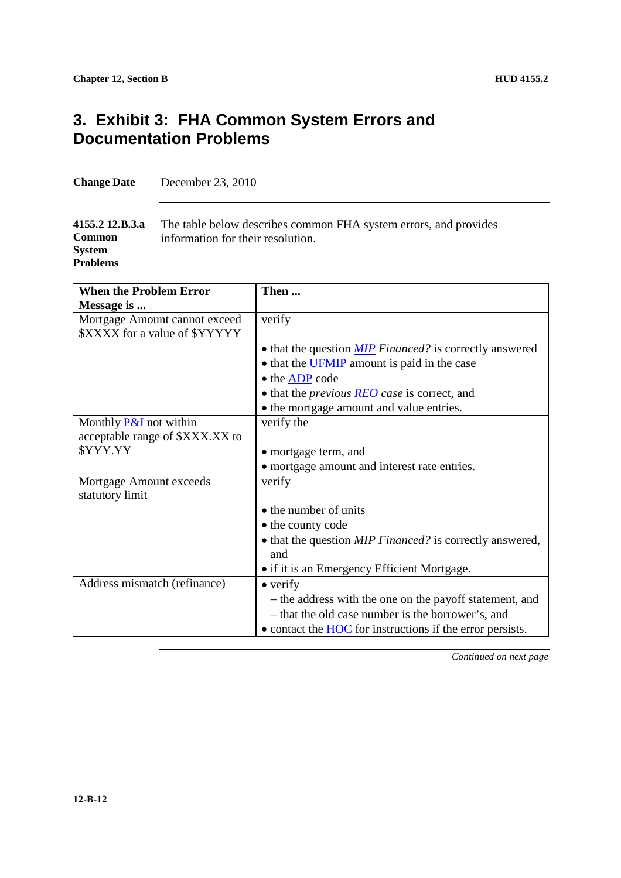### **3. Exhibit 3: FHA Common System Errors and Documentation Problems**

**Change Date** December 23, 2010

**4155.2 12.B.3.a Common System Problems** The table below describes common FHA system errors, and provides information for their resolution.

| <b>When the Problem Error</b>     | Then                                                               |
|-----------------------------------|--------------------------------------------------------------------|
| Message is                        |                                                                    |
| Mortgage Amount cannot exceed     | verify                                                             |
| \$XXXX for a value of \$YYYYY     |                                                                    |
|                                   | • that the question <b>MIP</b> Financed? is correctly answered     |
|                                   | • that the <b>UFMIP</b> amount is paid in the case                 |
|                                   | • the ADP code                                                     |
|                                   | $\bullet$ that the <i>previous</i> <b>REO</b> case is correct, and |
|                                   | • the mortgage amount and value entries.                           |
| Monthly <b>P&amp;I</b> not within | verify the                                                         |
| acceptable range of \$XXX.XX to   |                                                                    |
| \$YYY.YY                          | • mortgage term, and                                               |
|                                   | • mortgage amount and interest rate entries.                       |
| Mortgage Amount exceeds           | verify                                                             |
| statutory limit                   |                                                                    |
|                                   | • the number of units                                              |
|                                   | • the county code                                                  |
|                                   | • that the question <i>MIP Financed</i> ? is correctly answered,   |
|                                   | and                                                                |
|                                   | • if it is an Emergency Efficient Mortgage.                        |
| Address mismatch (refinance)      | $\bullet$ verify                                                   |
|                                   | - the address with the one on the payoff statement, and            |
|                                   | - that the old case number is the borrower's, and                  |
|                                   | • contact the <b>HOC</b> for instructions if the error persists.   |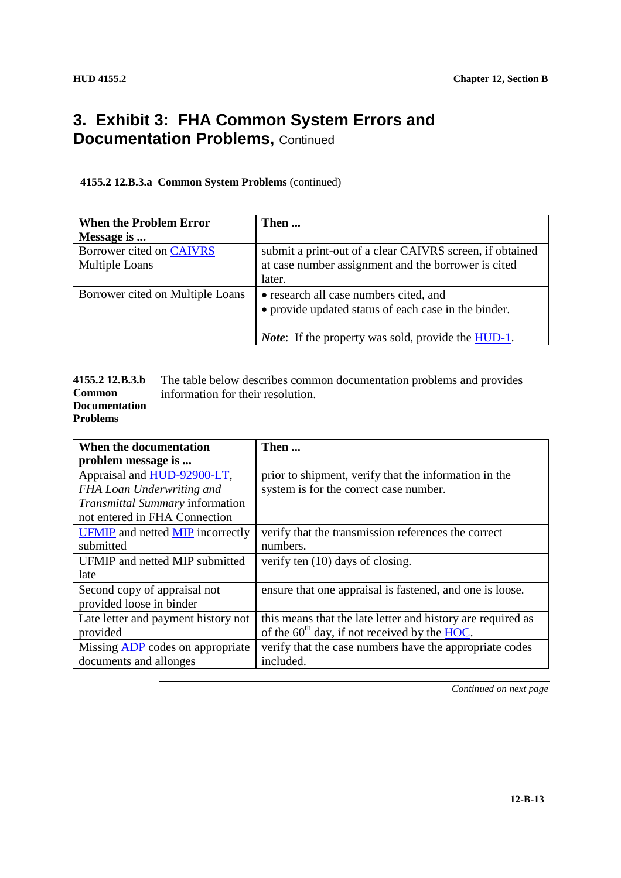### **3. Exhibit 3: FHA Common System Errors and Documentation Problems, Continued**

#### **4155.2 12.B.3.a Common System Problems** (continued)

| <b>When the Problem Error</b>    | Then                                                       |
|----------------------------------|------------------------------------------------------------|
| Message is                       |                                                            |
| Borrower cited on CAIVRS         | submit a print-out of a clear CAIVRS screen, if obtained   |
| <b>Multiple Loans</b>            | at case number assignment and the borrower is cited        |
|                                  | later.                                                     |
| Borrower cited on Multiple Loans | • research all case numbers cited, and                     |
|                                  | • provide updated status of each case in the binder.       |
|                                  |                                                            |
|                                  | <i>Note</i> : If the property was sold, provide the HUD-1. |
|                                  |                                                            |

#### **4155.2 12.B.3.b Common Documentation Problems** The table below describes common documentation problems and provides information for their resolution.

| When the documentation                         | Then                                                                    |
|------------------------------------------------|-------------------------------------------------------------------------|
| problem message is                             |                                                                         |
| Appraisal and HUD-92900-LT,                    | prior to shipment, verify that the information in the                   |
| FHA Loan Underwriting and                      | system is for the correct case number.                                  |
| Transmittal Summary information                |                                                                         |
| not entered in FHA Connection                  |                                                                         |
| <b>UFMIP</b> and netted <b>MIP</b> incorrectly | verify that the transmission references the correct                     |
| submitted                                      | numbers.                                                                |
| UFMIP and netted MIP submitted                 | verify ten (10) days of closing.                                        |
| late                                           |                                                                         |
| Second copy of appraisal not                   | ensure that one appraisal is fastened, and one is loose.                |
| provided loose in binder                       |                                                                         |
| Late letter and payment history not            | this means that the late letter and history are required as             |
| provided                                       | of the $60^{\text{th}}$ day, if not received by the $\underline{HOC}$ . |
| Missing <b>ADP</b> codes on appropriate        | verify that the case numbers have the appropriate codes                 |
| documents and allonges                         | included.                                                               |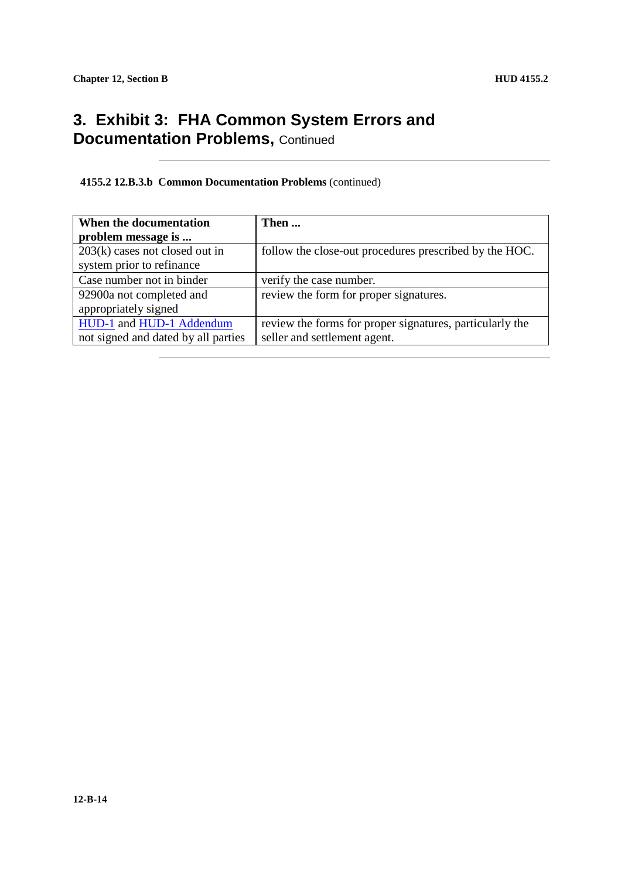### **3. Exhibit 3: FHA Common System Errors and Documentation Problems, Continued**

#### **4155.2 12.B.3.b Common Documentation Problems** (continued)

| When the documentation              | Then                                                     |
|-------------------------------------|----------------------------------------------------------|
| problem message is                  |                                                          |
| $203(k)$ cases not closed out in    | follow the close-out procedures prescribed by the HOC.   |
| system prior to refinance           |                                                          |
| Case number not in binder           | verify the case number.                                  |
| 92900a not completed and            | review the form for proper signatures.                   |
| appropriately signed                |                                                          |
| HUD-1 and HUD-1 Addendum            | review the forms for proper signatures, particularly the |
| not signed and dated by all parties | seller and settlement agent.                             |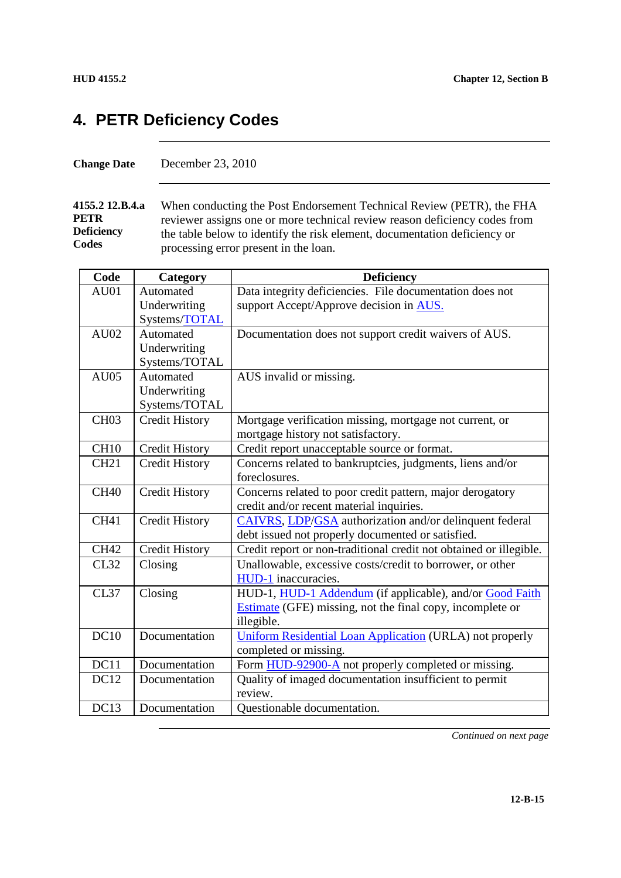### **4. PETR Deficiency Codes**

**4155.2 12.B.4.a PETR Deficiency Codes** When conducting the Post Endorsement Technical Review (PETR), the FHA reviewer assigns one or more technical review reason deficiency codes from the table below to identify the risk element, documentation deficiency or processing error present in the loan.

| Code             | Category              | <b>Deficiency</b>                                                  |
|------------------|-----------------------|--------------------------------------------------------------------|
| AU01             | Automated             | Data integrity deficiencies. File documentation does not           |
|                  | Underwriting          | support Accept/Approve decision in AUS.                            |
|                  | Systems/TOTAL         |                                                                    |
| AU02             | Automated             | Documentation does not support credit waivers of AUS.              |
|                  | Underwriting          |                                                                    |
|                  | Systems/TOTAL         |                                                                    |
| AU05             | Automated             | AUS invalid or missing.                                            |
|                  | Underwriting          |                                                                    |
|                  | Systems/TOTAL         |                                                                    |
| CH <sub>03</sub> | <b>Credit History</b> | Mortgage verification missing, mortgage not current, or            |
|                  |                       | mortgage history not satisfactory.                                 |
| CH <sub>10</sub> | <b>Credit History</b> | Credit report unacceptable source or format.                       |
| <b>CH21</b>      | <b>Credit History</b> | Concerns related to bankruptcies, judgments, liens and/or          |
|                  |                       | foreclosures.                                                      |
| <b>CH40</b>      | <b>Credit History</b> | Concerns related to poor credit pattern, major derogatory          |
|                  |                       | credit and/or recent material inquiries.                           |
| <b>CH41</b>      | <b>Credit History</b> | CAIVRS, LDP/GSA authorization and/or delinquent federal            |
|                  |                       | debt issued not properly documented or satisfied.                  |
| <b>CH42</b>      | <b>Credit History</b> | Credit report or non-traditional credit not obtained or illegible. |
| CL32             | Closing               | Unallowable, excessive costs/credit to borrower, or other          |
|                  |                       | HUD-1 inaccuracies.                                                |
| <b>CL37</b>      | Closing               | HUD-1, HUD-1 Addendum (if applicable), and/or Good Faith           |
|                  |                       | Estimate (GFE) missing, not the final copy, incomplete or          |
|                  |                       | illegible.                                                         |
| DC10             | Documentation         | <b>Uniform Residential Loan Application (URLA) not properly</b>    |
|                  |                       | completed or missing.                                              |
| DC11             | Documentation         | Form HUD-92900-A not properly completed or missing.                |
| DC12             | Documentation         | Quality of imaged documentation insufficient to permit             |
|                  |                       | review.                                                            |
| DC13             | Documentation         | Questionable documentation.                                        |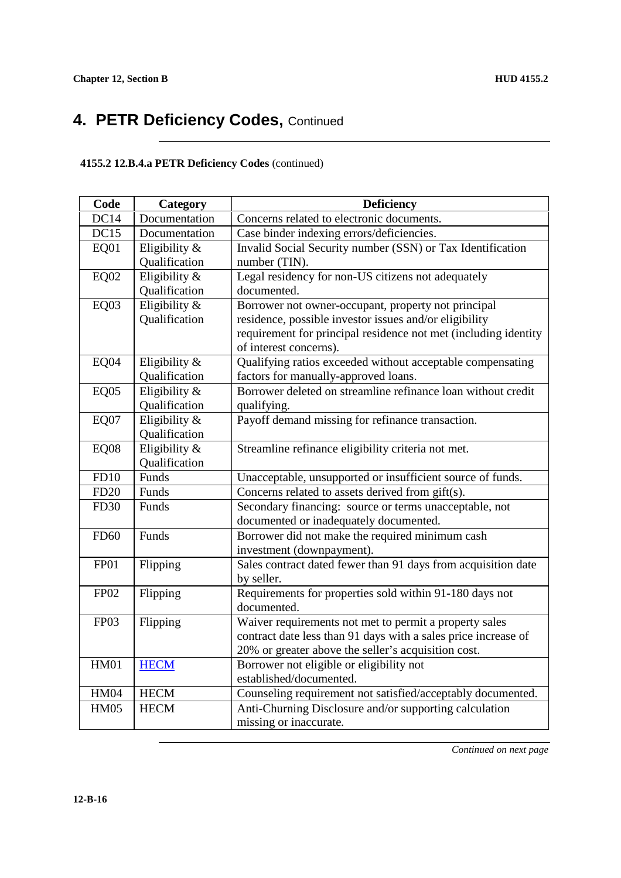#### **4155.2 12.B.4.a PETR Deficiency Codes** (continued)

| Code             | Category         | <b>Deficiency</b>                                                                         |
|------------------|------------------|-------------------------------------------------------------------------------------------|
| DC14             | Documentation    | Concerns related to electronic documents.                                                 |
| DC15             | Documentation    | Case binder indexing errors/deficiencies.                                                 |
| EQ01             | Eligibility &    | Invalid Social Security number (SSN) or Tax Identification                                |
|                  | Qualification    | number (TIN).                                                                             |
| <b>EQ02</b>      | Eligibility &    | Legal residency for non-US citizens not adequately                                        |
|                  | Qualification    | documented.                                                                               |
| <b>EQ03</b>      | Eligibility &    | Borrower not owner-occupant, property not principal                                       |
|                  | Qualification    | residence, possible investor issues and/or eligibility                                    |
|                  |                  | requirement for principal residence not met (including identity<br>of interest concerns). |
| EQ04             | Eligibility $\&$ | Qualifying ratios exceeded without acceptable compensating                                |
|                  | Qualification    | factors for manually-approved loans.                                                      |
| <b>EQ05</b>      | Eligibility &    | Borrower deleted on streamline refinance loan without credit                              |
|                  | Qualification    | qualifying.                                                                               |
| EQ07             | Eligibility &    | Payoff demand missing for refinance transaction.                                          |
|                  | Qualification    |                                                                                           |
| <b>EQ08</b>      | Eligibility &    | Streamline refinance eligibility criteria not met.                                        |
|                  | Qualification    |                                                                                           |
| FD10             | Funds            | Unacceptable, unsupported or insufficient source of funds.                                |
| FD20             | Funds            | Concerns related to assets derived from gift(s).                                          |
| <b>FD30</b>      | Funds            | Secondary financing: source or terms unacceptable, not                                    |
|                  |                  | documented or inadequately documented.                                                    |
| <b>FD60</b>      | Funds            | Borrower did not make the required minimum cash                                           |
|                  |                  | investment (downpayment).                                                                 |
| FP01             | Flipping         | Sales contract dated fewer than 91 days from acquisition date                             |
|                  |                  | by seller.                                                                                |
| <b>FP02</b>      | Flipping         | Requirements for properties sold within 91-180 days not                                   |
|                  |                  | documented.                                                                               |
| FP <sub>03</sub> | Flipping         | Waiver requirements not met to permit a property sales                                    |
|                  |                  | contract date less than 91 days with a sales price increase of                            |
|                  |                  | 20% or greater above the seller's acquisition cost.                                       |
| <b>HM01</b>      | <b>HECM</b>      | Borrower not eligible or eligibility not                                                  |
|                  |                  | established/documented.                                                                   |
| <b>HM04</b>      | <b>HECM</b>      | Counseling requirement not satisfied/acceptably documented.                               |
| <b>HM05</b>      | <b>HECM</b>      | Anti-Churning Disclosure and/or supporting calculation                                    |
|                  |                  | missing or inaccurate.                                                                    |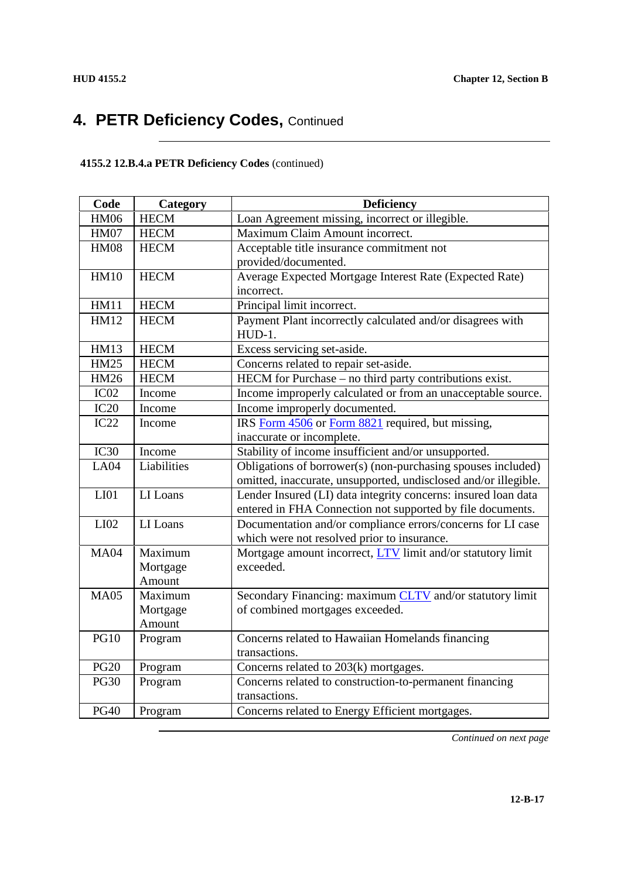### **4155.2 12.B.4.a PETR Deficiency Codes** (continued)

| Code             | Category    | <b>Deficiency</b>                                               |
|------------------|-------------|-----------------------------------------------------------------|
| <b>HM06</b>      | <b>HECM</b> | Loan Agreement missing, incorrect or illegible.                 |
| <b>HM07</b>      | <b>HECM</b> | Maximum Claim Amount incorrect.                                 |
| <b>HM08</b>      | <b>HECM</b> | Acceptable title insurance commitment not                       |
|                  |             | provided/documented.                                            |
| <b>HM10</b>      | <b>HECM</b> | Average Expected Mortgage Interest Rate (Expected Rate)         |
|                  |             | incorrect.                                                      |
| <b>HM11</b>      | <b>HECM</b> | Principal limit incorrect.                                      |
| <b>HM12</b>      | <b>HECM</b> | Payment Plant incorrectly calculated and/or disagrees with      |
|                  |             | $HUD-1.$                                                        |
| <b>HM13</b>      | <b>HECM</b> | Excess servicing set-aside.                                     |
| <b>HM25</b>      | <b>HECM</b> | Concerns related to repair set-aside.                           |
| <b>HM26</b>      | <b>HECM</b> | HECM for Purchase – no third party contributions exist.         |
| IC <sub>02</sub> | Income      | Income improperly calculated or from an unacceptable source.    |
| IC20             | Income      | Income improperly documented.                                   |
| IC22             | Income      | IRS Form 4506 or Form 8821 required, but missing,               |
|                  |             | inaccurate or incomplete.                                       |
| IC30             | Income      | Stability of income insufficient and/or unsupported.            |
| LA04             | Liabilities | Obligations of borrower(s) (non-purchasing spouses included)    |
|                  |             | omitted, inaccurate, unsupported, undisclosed and/or illegible. |
| LI <sub>01</sub> | LI Loans    | Lender Insured (LI) data integrity concerns: insured loan data  |
|                  |             | entered in FHA Connection not supported by file documents.      |
| LI <sub>02</sub> | LI Loans    | Documentation and/or compliance errors/concerns for LI case     |
|                  |             | which were not resolved prior to insurance.                     |
| <b>MA04</b>      | Maximum     | Mortgage amount incorrect, LTV limit and/or statutory limit     |
|                  | Mortgage    | exceeded.                                                       |
|                  | Amount      |                                                                 |
| <b>MA05</b>      | Maximum     | Secondary Financing: maximum CLTV and/or statutory limit        |
|                  | Mortgage    | of combined mortgages exceeded.                                 |
|                  | Amount      |                                                                 |
| <b>PG10</b>      | Program     | Concerns related to Hawaiian Homelands financing                |
|                  |             | transactions.                                                   |
| <b>PG20</b>      | Program     | Concerns related to 203(k) mortgages.                           |
| <b>PG30</b>      | Program     | Concerns related to construction-to-permanent financing         |
|                  |             | transactions.                                                   |
| <b>PG40</b>      | Program     | Concerns related to Energy Efficient mortgages.                 |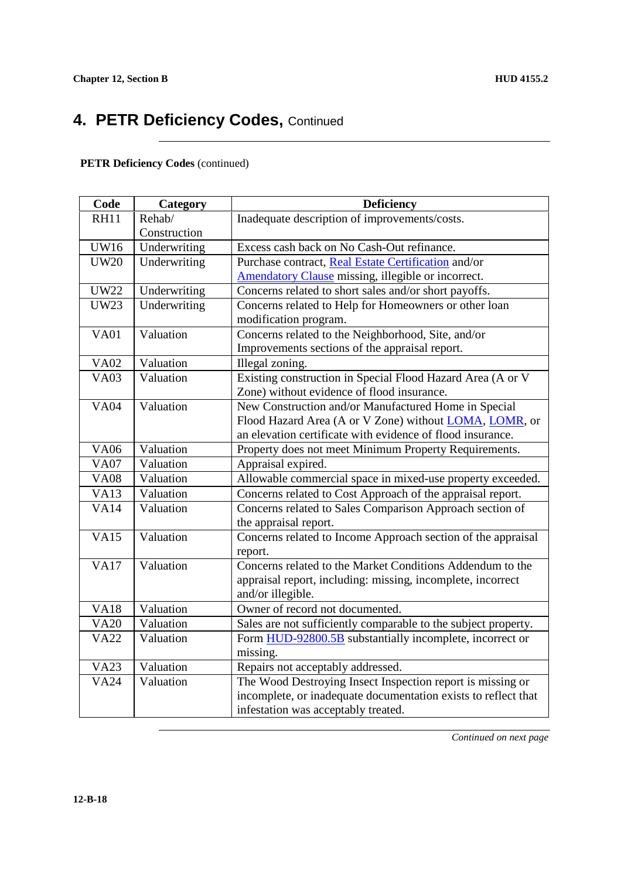#### **PETR Deficiency Codes** (continued)

| Code        | Category     | <b>Deficiency</b>                                              |
|-------------|--------------|----------------------------------------------------------------|
| <b>RH11</b> | Rehab/       | Inadequate description of improvements/costs.                  |
|             | Construction |                                                                |
| <b>UW16</b> | Underwriting | Excess cash back on No Cash-Out refinance.                     |
| <b>UW20</b> | Underwriting | Purchase contract, Real Estate Certification and/or            |
|             |              | Amendatory Clause missing, illegible or incorrect.             |
| <b>UW22</b> | Underwriting | Concerns related to short sales and/or short payoffs.          |
| <b>UW23</b> | Underwriting | Concerns related to Help for Homeowners or other loan          |
|             |              | modification program.                                          |
| <b>VA01</b> | Valuation    | Concerns related to the Neighborhood, Site, and/or             |
|             |              | Improvements sections of the appraisal report.                 |
| <b>VA02</b> | Valuation    | Illegal zoning.                                                |
| <b>VA03</b> | Valuation    | Existing construction in Special Flood Hazard Area (A or V     |
|             |              | Zone) without evidence of flood insurance.                     |
| <b>VA04</b> | Valuation    | New Construction and/or Manufactured Home in Special           |
|             |              | Flood Hazard Area (A or V Zone) without LOMA, LOMR, or         |
|             |              | an elevation certificate with evidence of flood insurance.     |
| <b>VA06</b> | Valuation    | Property does not meet Minimum Property Requirements.          |
| <b>VA07</b> | Valuation    | Appraisal expired.                                             |
| <b>VA08</b> | Valuation    | Allowable commercial space in mixed-use property exceeded.     |
| <b>VA13</b> | Valuation    | Concerns related to Cost Approach of the appraisal report.     |
| <b>VA14</b> | Valuation    | Concerns related to Sales Comparison Approach section of       |
|             |              | the appraisal report.                                          |
| <b>VA15</b> | Valuation    | Concerns related to Income Approach section of the appraisal   |
|             |              | report.                                                        |
| <b>VA17</b> | Valuation    | Concerns related to the Market Conditions Addendum to the      |
|             |              | appraisal report, including: missing, incomplete, incorrect    |
|             |              | and/or illegible.                                              |
| <b>VA18</b> | Valuation    | Owner of record not documented.                                |
| <b>VA20</b> | Valuation    | Sales are not sufficiently comparable to the subject property. |
| <b>VA22</b> | Valuation    | Form HUD-92800.5B substantially incomplete, incorrect or       |
|             |              | missing.                                                       |
| <b>VA23</b> | Valuation    | Repairs not acceptably addressed.                              |
| <b>VA24</b> | Valuation    | The Wood Destroying Insect Inspection report is missing or     |
|             |              | incomplete, or inadequate documentation exists to reflect that |
|             |              | infestation was acceptably treated.                            |